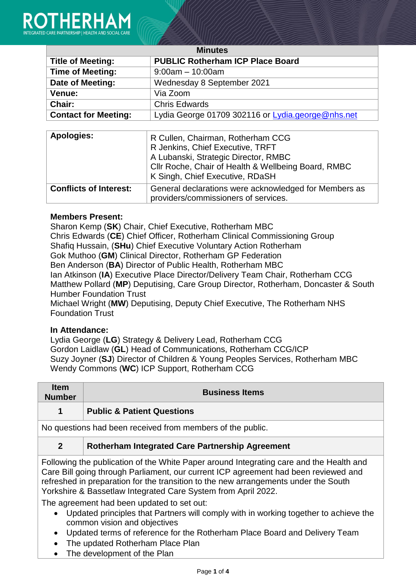

| <b>Minutes</b>              |                                                   |  |
|-----------------------------|---------------------------------------------------|--|
| <b>Title of Meeting:</b>    | <b>PUBLIC Rotherham ICP Place Board</b>           |  |
| <b>Time of Meeting:</b>     | $9:00am - 10:00am$                                |  |
| Date of Meeting:            | Wednesday 8 September 2021                        |  |
| Venue:                      | Via Zoom                                          |  |
| Chair:                      | <b>Chris Edwards</b>                              |  |
| <b>Contact for Meeting:</b> | Lydia George 01709 302116 or Lydia.george@nhs.net |  |

| <b>Apologies:</b>             | R Cullen, Chairman, Rotherham CCG<br>R Jenkins, Chief Executive, TRFT                         |
|-------------------------------|-----------------------------------------------------------------------------------------------|
|                               | A Lubanski, Strategic Director, RMBC<br>Cllr Roche, Chair of Health & Wellbeing Board, RMBC   |
|                               | K Singh, Chief Executive, RDaSH                                                               |
| <b>Conflicts of Interest:</b> | General declarations were acknowledged for Members as<br>providers/commissioners of services. |

## **Members Present:**

Sharon Kemp (**SK**) Chair, Chief Executive, Rotherham MBC Chris Edwards (**CE**) Chief Officer, Rotherham Clinical Commissioning Group Shafiq Hussain, (**SHu**) Chief Executive Voluntary Action Rotherham Gok Muthoo (**GM**) Clinical Director, Rotherham GP Federation Ben Anderson (**BA**) Director of Public Health, Rotherham MBC Ian Atkinson (**IA**) Executive Place Director/Delivery Team Chair, Rotherham CCG Matthew Pollard (**MP**) Deputising, Care Group Director, Rotherham, Doncaster & South Humber Foundation Trust

Michael Wright (**MW**) Deputising, Deputy Chief Executive, The Rotherham NHS Foundation Trust

## **In Attendance:**

Lydia George (**LG**) Strategy & Delivery Lead, Rotherham CCG Gordon Laidlaw (**GL**) Head of Communications, Rotherham CCG/ICP Suzy Joyner (**SJ**) Director of Children & Young Peoples Services, Rotherham MBC Wendy Commons (**WC**) ICP Support, Rotherham CCG

| <b>Item</b><br><b>Number</b>                                                                                                                                                                                                                                          | <b>Business Items</b>                                      |
|-----------------------------------------------------------------------------------------------------------------------------------------------------------------------------------------------------------------------------------------------------------------------|------------------------------------------------------------|
| $\blacktriangleleft$                                                                                                                                                                                                                                                  | <b>Public &amp; Patient Questions</b>                      |
|                                                                                                                                                                                                                                                                       | No questions had been received from members of the public. |
| $\overline{2}$                                                                                                                                                                                                                                                        | Rotherham Integrated Care Partnership Agreement            |
| Following the publication of the White Paper around Integrating care and the Health and<br>Care Bill going through Parliament, our current ICP agreement had been reviewed and<br>refreshed in preparation for the transition to the new arrangements under the South |                                                            |

Yorkshire & Bassetlaw Integrated Care System from April 2022.

The agreement had been updated to set out:

- Updated principles that Partners will comply with in working together to achieve the common vision and objectives
- Updated terms of reference for the Rotherham Place Board and Delivery Team
- The updated Rotherham Place Plan
- The development of the Plan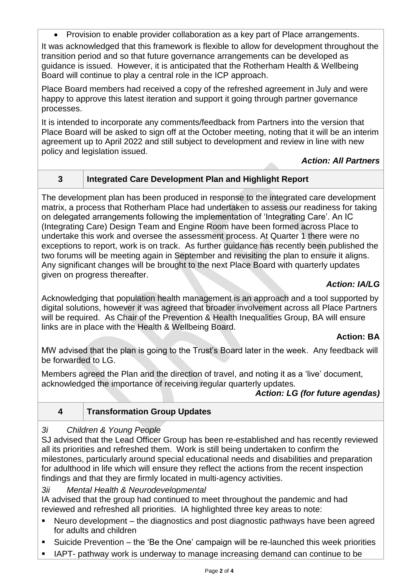Provision to enable provider collaboration as a key part of Place arrangements. It was acknowledged that this framework is flexible to allow for development throughout the transition period and so that future governance arrangements can be developed as guidance is issued. However, it is anticipated that the Rotherham Health & Wellbeing Board will continue to play a central role in the ICP approach.

Place Board members had received a copy of the refreshed agreement in July and were happy to approve this latest iteration and support it going through partner governance processes.

It is intended to incorporate any comments/feedback from Partners into the version that Place Board will be asked to sign off at the October meeting, noting that it will be an interim agreement up to April 2022 and still subject to development and review in line with new policy and legislation issued.

# *Action: All Partners*

# **3 Integrated Care Development Plan and Highlight Report**

The development plan has been produced in response to the integrated care development matrix, a process that Rotherham Place had undertaken to assess our readiness for taking on delegated arrangements following the implementation of 'Integrating Care'. An IC (Integrating Care) Design Team and Engine Room have been formed across Place to undertake this work and oversee the assessment process. At Quarter 1 there were no exceptions to report, work is on track. As further guidance has recently been published the two forums will be meeting again in September and revisiting the plan to ensure it aligns. Any significant changes will be brought to the next Place Board with quarterly updates given on progress thereafter.

# *Action: IA/LG*

Acknowledging that population health management is an approach and a tool supported by digital solutions, however it was agreed that broader involvement across all Place Partners will be required. As Chair of the Prevention & Health Inequalities Group, BA will ensure links are in place with the Health & Wellbeing Board.

## **Action: BA**

MW advised that the plan is going to the Trust's Board later in the week. Any feedback will be forwarded to LG.

Members agreed the Plan and the direction of travel, and noting it as a 'live' document, acknowledged the importance of receiving regular quarterly updates.

## *Action: LG (for future agendas)*

# **4 Transformation Group Updates**

## *3i Children & Young People*

SJ advised that the Lead Officer Group has been re-established and has recently reviewed all its priorities and refreshed them. Work is still being undertaken to confirm the milestones, particularly around special educational needs and disabilities and preparation for adulthood in life which will ensure they reflect the actions from the recent inspection findings and that they are firmly located in multi-agency activities.

*3ii Mental Health & Neurodevelopmental*

IA advised that the group had continued to meet throughout the pandemic and had reviewed and refreshed all priorities. IA highlighted three key areas to note:

- Neuro development the diagnostics and post diagnostic pathways have been agreed for adults and children
- Suicide Prevention the 'Be the One' campaign will be re-launched this week priorities
- IAPT- pathway work is underway to manage increasing demand can continue to be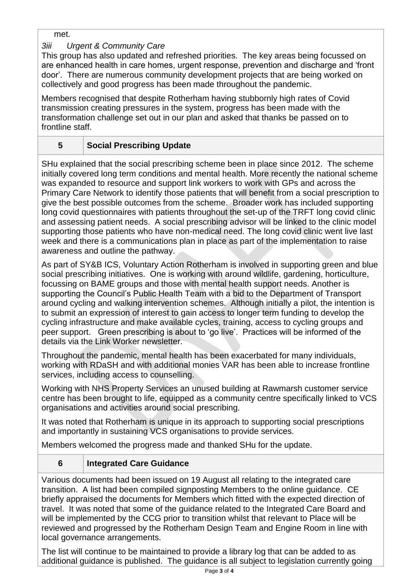met.

# *3iii Urgent & Community Care*

This group has also updated and refreshed priorities. The key areas being focussed on are enhanced health in care homes, urgent response, prevention and discharge and 'front door'. There are numerous community development projects that are being worked on collectively and good progress has been made throughout the pandemic.

Members recognised that despite Rotherham having stubbornly high rates of Covid transmission creating pressures in the system, progress has been made with the transformation challenge set out in our plan and asked that thanks be passed on to frontline staff.

# **5 Social Prescribing Update**

SHu explained that the social prescribing scheme been in place since 2012. The scheme initially covered long term conditions and mental health. More recently the national scheme was expanded to resource and support link workers to work with GPs and across the Primary Care Network to identify those patients that will benefit from a social prescription to give the best possible outcomes from the scheme. Broader work has included supporting long covid questionnaires with patients throughout the set-up of the TRFT long covid clinic and assessing patient needs. A social prescribing advisor will be linked to the clinic model supporting those patients who have non-medical need. The long covid clinic went live last week and there is a communications plan in place as part of the implementation to raise awareness and outline the pathway.

As part of SY&B ICS, Voluntary Action Rotherham is involved in supporting green and blue social prescribing initiatives. One is working with around wildlife, gardening, horticulture, focussing on BAME groups and those with mental health support needs. Another is supporting the Council's Public Health Team with a bid to the Department of Transport around cycling and walking intervention schemes. Although initially a pilot, the intention is to submit an expression of interest to gain access to longer term funding to develop the cycling infrastructure and make available cycles, training, access to cycling groups and peer support. Green prescribing is about to 'go live'. Practices will be informed of the details via the Link Worker newsletter.

Throughout the pandemic, mental health has been exacerbated for many individuals, working with RDaSH and with additional monies VAR has been able to increase frontline services, including access to counselling.

Working with NHS Property Services an unused building at Rawmarsh customer service centre has been brought to life, equipped as a community centre specifically linked to VCS organisations and activities around social prescribing.

It was noted that Rotherham is unique in its approach to supporting social prescriptions and importantly in sustaining VCS organisations to provide services.

Members welcomed the progress made and thanked SHu for the update.

# **6 Integrated Care Guidance**

Various documents had been issued on 19 August all relating to the integrated care transition. A list had been compiled signposting Members to the online guidance. CE briefly appraised the documents for Members which fitted with the expected direction of travel. It was noted that some of the guidance related to the Integrated Care Board and will be implemented by the CCG prior to transition whilst that relevant to Place will be reviewed and progressed by the Rotherham Design Team and Engine Room in line with local governance arrangements.

The list will continue to be maintained to provide a library log that can be added to as additional guidance is published. The guidance is all subject to legislation currently going